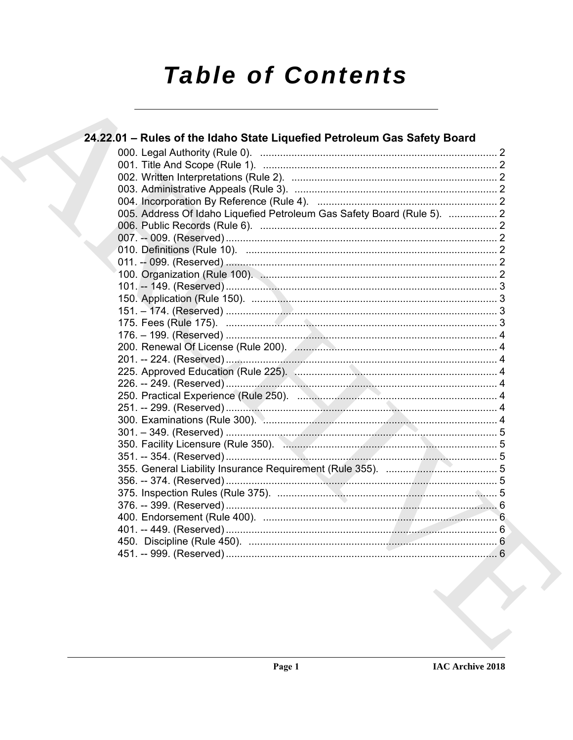# **Table of Contents**

| 24.22.01 - Rules of the Idaho State Liquefied Petroleum Gas Safety Board |  |
|--------------------------------------------------------------------------|--|
|                                                                          |  |
|                                                                          |  |
|                                                                          |  |
|                                                                          |  |
|                                                                          |  |
| 005. Address Of Idaho Liquefied Petroleum Gas Safety Board (Rule 5).  2  |  |
|                                                                          |  |
|                                                                          |  |
|                                                                          |  |
|                                                                          |  |
|                                                                          |  |
|                                                                          |  |
|                                                                          |  |
|                                                                          |  |
|                                                                          |  |
|                                                                          |  |
|                                                                          |  |
|                                                                          |  |
|                                                                          |  |
|                                                                          |  |
|                                                                          |  |
|                                                                          |  |
|                                                                          |  |
|                                                                          |  |
|                                                                          |  |
|                                                                          |  |
|                                                                          |  |
|                                                                          |  |
|                                                                          |  |
|                                                                          |  |
|                                                                          |  |
|                                                                          |  |
|                                                                          |  |
|                                                                          |  |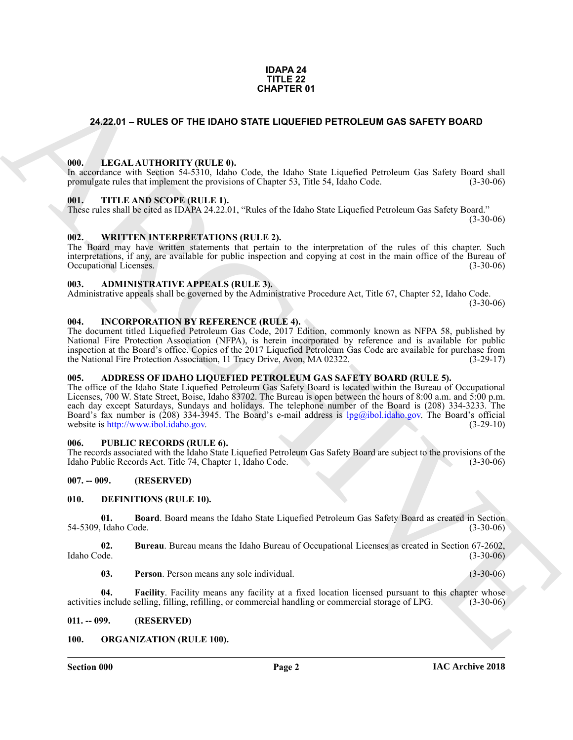#### **IDAPA 24 TITLE 22 CHAPTER 01**

#### <span id="page-1-0"></span>**24.22.01 – RULES OF THE IDAHO STATE LIQUEFIED PETROLEUM GAS SAFETY BOARD**

#### <span id="page-1-20"></span><span id="page-1-1"></span>**000. LEGAL AUTHORITY (RULE 0).**

In accordance with Section 54-5310, Idaho Code, the Idaho State Liquefied Petroleum Gas Safety Board shall promulgate rules that implement the provisions of Chapter 53, Title 54, Idaho Code. (3-30-06)

#### <span id="page-1-23"></span><span id="page-1-2"></span>**001. TITLE AND SCOPE (RULE 1).**

These rules shall be cited as IDAPA 24.22.01, "Rules of the Idaho State Liquefied Petroleum Gas Safety Board."

 $(3-30-06)$ 

#### <span id="page-1-24"></span><span id="page-1-3"></span>**002. WRITTEN INTERPRETATIONS (RULE 2).**

The Board may have written statements that pertain to the interpretation of the rules of this chapter. Such interpretations, if any, are available for public inspection and copying at cost in the main office of the Bureau of Occupational Licenses. (3-30-06)

#### <span id="page-1-13"></span><span id="page-1-4"></span>**003. ADMINISTRATIVE APPEALS (RULE 3).**

Administrative appeals shall be governed by the Administrative Procedure Act, Title 67, Chapter 52, Idaho Code.  $(3-30-06)$ 

#### <span id="page-1-19"></span><span id="page-1-5"></span>**004. INCORPORATION BY REFERENCE (RULE 4).**

The document titled Liquefied Petroleum Gas Code, 2017 Edition, commonly known as NFPA 58, published by National Fire Protection Association (NFPA), is herein incorporated by reference and is available for public inspection at the Board's office. Copies of the 2017 Liquefied Petroleum Gas Code are available for purchase from the National Fire Protection Association, 11 Tracy Drive, Avon, MA 02322. (3-29-17)

#### <span id="page-1-12"></span><span id="page-1-6"></span>**005. ADDRESS OF IDAHO LIQUEFIED PETROLEUM GAS SAFETY BOARD (RULE 5).**

**CHAPTER 01**<br> **CHAPTER 01**<br> **CHAPTER 01**<br> **CHAPTER CONTINUES CONTINUES CONTINUES CONTINUES CONTINUES CONTINUES CONTINUES CONTINUES CONTINUES CONTINUES CONTINUES CONTINUES CONTINUES CONTINUES CONTINUES CONTINUES CONTINUES** The office of the Idaho State Liquefied Petroleum Gas Safety Board is located within the Bureau of Occupational Licenses, 700 W. State Street, Boise, Idaho 83702. The Bureau is open between the hours of 8:00 a.m. and 5:00 p.m. each day except Saturdays, Sundays and holidays. The telephone number of the Board is (208) 334-3233. The Board's fax number is (208) 334-3945. The Board's e-mail address is lpg@ibol.idaho.gov. The Board's official website is http://www.ibol.idaho.gov. (3-29-10)

#### <span id="page-1-22"></span><span id="page-1-7"></span>**006. PUBLIC RECORDS (RULE 6).**

The records associated with the Idaho State Liquefied Petroleum Gas Safety Board are subject to the provisions of the Idaho Public Records Act. Title 74, Chapter 1, Idaho Code. (3-30-06)

#### <span id="page-1-8"></span>**007. -- 009. (RESERVED)**

#### <span id="page-1-14"></span><span id="page-1-9"></span>**010. DEFINITIONS (RULE 10).**

<span id="page-1-15"></span>**01. Board**. Board means the Idaho State Liquefied Petroleum Gas Safety Board as created in Section 54-5309, Idaho Code. (3-30-06)

**02.** Bureau. Bureau means the Idaho Bureau of Occupational Licenses as created in Section 67-2602, Idaho Code. (3-30-06) Idaho Code. (3-30-06)

<span id="page-1-18"></span><span id="page-1-17"></span><span id="page-1-16"></span>**03. Person**. Person means any sole individual. (3-30-06)

**04. Facility**. Facility means any facility at a fixed location licensed pursuant to this chapter whose activities include selling, filling, refilling, or commercial handling or commercial storage of LPG. (3-30-06)

#### <span id="page-1-10"></span>**011. -- 099. (RESERVED)**

#### <span id="page-1-21"></span><span id="page-1-11"></span>**100. ORGANIZATION (RULE 100).**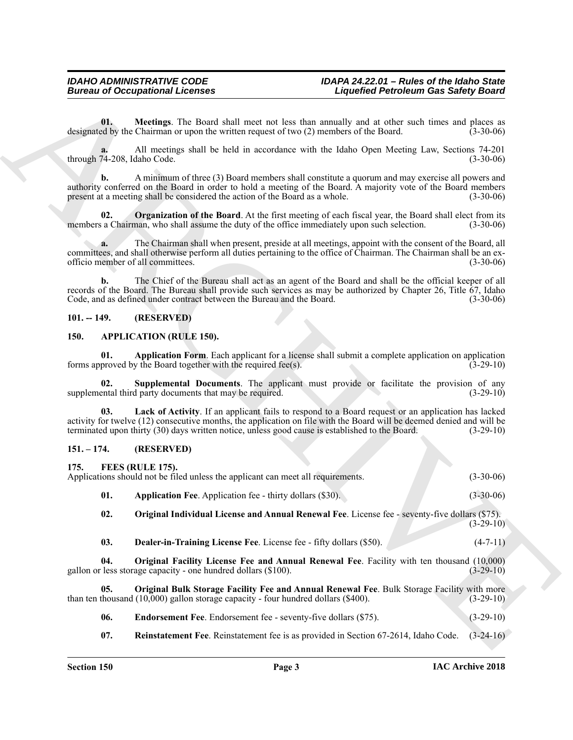#### <span id="page-2-17"></span><span id="page-2-0"></span>**101. -- 149. (RESERVED)**

#### <span id="page-2-7"></span><span id="page-2-5"></span><span id="page-2-4"></span><span id="page-2-1"></span>**150. APPLICATION (RULE 150).**

#### <span id="page-2-15"></span><span id="page-2-14"></span><span id="page-2-13"></span><span id="page-2-12"></span><span id="page-2-11"></span><span id="page-2-10"></span><span id="page-2-9"></span><span id="page-2-8"></span><span id="page-2-6"></span><span id="page-2-3"></span><span id="page-2-2"></span>**151. – 174. (RESERVED)**

<span id="page-2-16"></span>

| <b>Bureau of Occupational Licenses</b> |                                                                                                      |                                                                                                                                                                                                                               | <b>Liquefied Petroleum Gas Safety Board</b> |  |
|----------------------------------------|------------------------------------------------------------------------------------------------------|-------------------------------------------------------------------------------------------------------------------------------------------------------------------------------------------------------------------------------|---------------------------------------------|--|
| 01.                                    | designated by the Chairman or upon the written request of two (2) members of the Board.              | Meetings. The Board shall meet not less than annually and at other such times and places as                                                                                                                                   | $(3-30-06)$                                 |  |
| through 74-208, Idaho Code.            |                                                                                                      | All meetings shall be held in accordance with the Idaho Open Meeting Law, Sections 74-201                                                                                                                                     | $(3-30-06)$                                 |  |
| $\mathbf{b}$ .                         | present at a meeting shall be considered the action of the Board as a whole.                         | A minimum of three (3) Board members shall constitute a quorum and may exercise all powers and<br>authority conferred on the Board in order to hold a meeting of the Board. A majority vote of the Board members              | $(3-30-06)$                                 |  |
| 02.                                    | members a Chairman, who shall assume the duty of the office immediately upon such selection.         | <b>Organization of the Board.</b> At the first meeting of each fiscal year, the Board shall elect from its                                                                                                                    | $(3-30-06)$                                 |  |
| a.                                     | officio member of all committees.                                                                    | The Chairman shall when present, preside at all meetings, appoint with the consent of the Board, all<br>committees, and shall otherwise perform all duties pertaining to the office of Chairman. The Chairman shall be an ex- | $(3-30-06)$                                 |  |
| $\mathbf{b}$ .                         | Code, and as defined under contract between the Bureau and the Board.                                | The Chief of the Bureau shall act as an agent of the Board and shall be the official keeper of all<br>records of the Board. The Bureau shall provide such services as may be authorized by Chapter 26, Title 67, Idaho        | $(3-30-06)$                                 |  |
| $101. - 149.$                          | (RESERVED)                                                                                           |                                                                                                                                                                                                                               |                                             |  |
| 150.                                   | <b>APPLICATION (RULE 150).</b>                                                                       |                                                                                                                                                                                                                               |                                             |  |
| 01.                                    | forms approved by the Board together with the required fee(s).                                       | Application Form. Each applicant for a license shall submit a complete application on application                                                                                                                             | $(3-29-10)$                                 |  |
| 02.                                    | supplemental third party documents that may be required.                                             | Supplemental Documents. The applicant must provide or facilitate the provision of any                                                                                                                                         | $(3-29-10)$                                 |  |
| 03.                                    | terminated upon thirty (30) days written notice, unless good cause is established to the Board.      | Lack of Activity. If an applicant fails to respond to a Board request or an application has lacked<br>activity for twelve (12) consecutive months, the application on file with the Board will be deemed denied and will be   | $(3-29-10)$                                 |  |
| $151. - 174.$                          | (RESERVED)                                                                                           |                                                                                                                                                                                                                               |                                             |  |
| 175.                                   | FEES (RULE 175).<br>Applications should not be filed unless the applicant can meet all requirements. |                                                                                                                                                                                                                               | $(3-30-06)$                                 |  |
| 01.                                    | <b>Application Fee.</b> Application fee - thirty dollars (\$30).                                     |                                                                                                                                                                                                                               | $(3-30-06)$                                 |  |
| 02.                                    |                                                                                                      | Original Individual License and Annual Renewal Fee. License fee - seventy-five dollars (\$75).                                                                                                                                | $(3-29-10)$                                 |  |
| 03.                                    | Dealer-in-Training License Fee. License fee - fifty dollars (\$50).                                  |                                                                                                                                                                                                                               | $(4-7-11)$                                  |  |
| 04.                                    | gallon or less storage capacity - one hundred dollars (\$100).                                       | Original Facility License Fee and Annual Renewal Fee. Facility with ten thousand (10,000)                                                                                                                                     | $(3-29-10)$                                 |  |
| 05.                                    | than ten thousand $(10,000)$ gallon storage capacity - four hundred dollars (\$400).                 | Original Bulk Storage Facility Fee and Annual Renewal Fee. Bulk Storage Facility with more                                                                                                                                    | $(3-29-10)$                                 |  |
| 06.                                    | Endorsement Fee. Endorsement fee - seventy-five dollars (\$75).                                      |                                                                                                                                                                                                                               | $(3-29-10)$                                 |  |
|                                        |                                                                                                      | Reinstatement Fee. Reinstatement fee is as provided in Section 67-2614, Idaho Code.                                                                                                                                           | $(3-24-16)$                                 |  |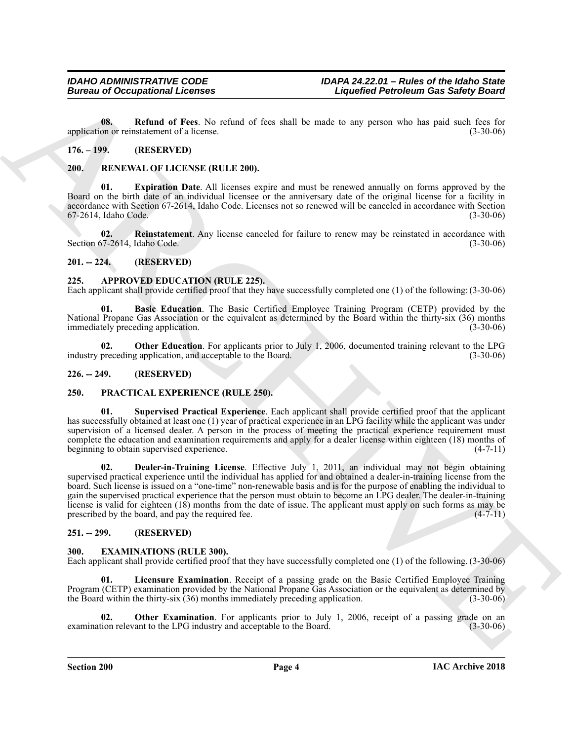<span id="page-3-14"></span>**08. Refund of Fees**. No refund of fees shall be made to any person who has paid such fees for application or reinstatement of a license. (3-30-06)

#### <span id="page-3-0"></span>**176. – 199. (RESERVED)**

#### <span id="page-3-18"></span><span id="page-3-1"></span>**200. RENEWAL OF LICENSE (RULE 200).**

<span id="page-3-19"></span>**01. Expiration Date**. All licenses expire and must be renewed annually on forms approved by the Board on the birth date of an individual licensee or the anniversary date of the original license for a facility in accordance with Section 67-2614, Idaho Code. Licenses not so renewed will be canceled in accordance with Section 67-2614, Idaho Code. (3-30-06)

<span id="page-3-20"></span>**02. Reinstatement**. Any license canceled for failure to renew may be reinstated in accordance with Section 67-2614, Idaho Code. (3-30-06)

#### <span id="page-3-2"></span>**201. -- 224. (RESERVED)**

#### <span id="page-3-8"></span><span id="page-3-3"></span>**225. APPROVED EDUCATION (RULE 225).**

Each applicant shall provide certified proof that they have successfully completed one (1) of the following: (3-30-06)

<span id="page-3-9"></span>**01. Basic Education**. The Basic Certified Employee Training Program (CETP) provided by the National Propane Gas Association or the equivalent as determined by the Board within the thirty-six (36) months immediately preceding application. (3-30-06)

<span id="page-3-10"></span>**02. Other Education**. For applicants prior to July 1, 2006, documented training relevant to the LPG industry preceding application, and acceptable to the Board. (3-30-06)

#### <span id="page-3-4"></span>**226. -- 249. (RESERVED)**

#### <span id="page-3-15"></span><span id="page-3-5"></span>**250. PRACTICAL EXPERIENCE (RULE 250).**

<span id="page-3-17"></span><span id="page-3-16"></span>**01. Supervised Practical Experience**. Each applicant shall provide certified proof that the applicant has successfully obtained at least one (1) year of practical experience in an LPG facility while the applicant was under supervision of a licensed dealer. A person in the process of meeting the practical experience requirement must complete the education and examination requirements and apply for a dealer license within eighteen (18) months of beginning to obtain supervised experience. (4-7-11)

**European of Occupational Licenses**<br> **European of Fivoring 10**<br> **European of Fivoring 10**<br> **European of Fivoring 10**<br> **EUROPEAN CONFIDENTIES**<br>
The **EUROPEAN CONFIDENTIES**<br> **ARCHIVE CONFIDENTIES**<br> **ARCHIVE CONFIDENTIES**<br> **02. Dealer-in-Training License**. Effective July 1, 2011, an individual may not begin obtaining supervised practical experience until the individual has applied for and obtained a dealer-in-training license from the board. Such license is issued on a "one-time" non-renewable basis and is for the purpose of enabling the individual to gain the supervised practical experience that the person must obtain to become an LPG dealer. The dealer-in-training license is valid for eighteen  $(18)$  months from the date of issue. The applicant must apply on such forms as may be prescribed by the board, and pay the required fee.  $(4-7-11)$ prescribed by the board, and pay the required fee.

#### <span id="page-3-6"></span>**251. -- 299. (RESERVED)**

#### <span id="page-3-11"></span><span id="page-3-7"></span>**300. EXAMINATIONS (RULE 300).**

Each applicant shall provide certified proof that they have successfully completed one (1) of the following. (3-30-06)

<span id="page-3-12"></span>**01. Licensure Examination**. Receipt of a passing grade on the Basic Certified Employee Training Program (CETP) examination provided by the National Propane Gas Association or the equivalent as determined by the Board within the thirty-six (36) months immediately preceding application. (3-30-06)

<span id="page-3-13"></span>**02. Other Examination**. For applicants prior to July 1, 2006, receipt of a passing grade on an ion relevant to the LPG industry and acceptable to the Board. (3-30-06) examination relevant to the LPG industry and acceptable to the Board.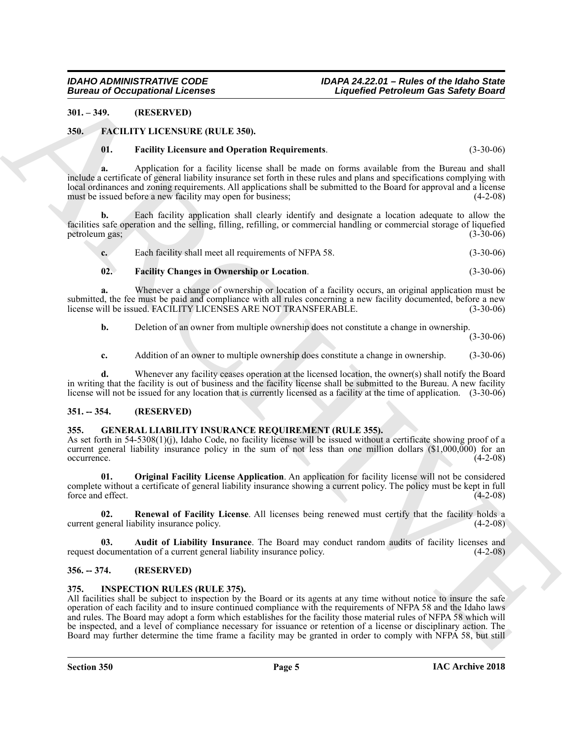#### <span id="page-4-0"></span>**301. – 349. (RESERVED)**

#### <span id="page-4-1"></span>**350. FACILITY LICENSURE (RULE 350).**

#### <span id="page-4-8"></span><span id="page-4-6"></span>**01. Facility Licensure and Operation Requirements**. (3-30-06)

**a.** Application for a facility license shall be made on forms available from the Bureau and shall include a certificate of general liability insurance set forth in these rules and plans and specifications complying with local ordinances and zoning requirements. All applications shall be submitted to the Board for approval and a license must be issued before a new facility may open for business; (4-2-08)

**b.** Each facility application shall clearly identify and designate a location adequate to allow the facilities safe operation and the selling, filling, refilling, or commercial handling or commercial storage of liquefied petroleum gas; (3-30-06)

| ı. | Each facility shall meet all requirements of NFPA 58. | $(3-30-06)$ |
|----|-------------------------------------------------------|-------------|
|    |                                                       |             |

#### <span id="page-4-7"></span>**02. Facility Changes in Ownership or Location**. (3-30-06)

**a.** Whenever a change of ownership or location of a facility occurs, an original application must be submitted, the fee must be paid and compliance with all rules concerning a new facility documented, before a new<br>license will be issued. FACILITY LICENSES ARE NOT TRANSFERABLE. (3-30-06) license will be issued. FACILITY LICENSES ARE NOT TRANSFERABLE.

**b.** Deletion of an owner from multiple ownership does not constitute a change in ownership.

(3-30-06)

**c.** Addition of an owner to multiple ownership does constitute a change in ownership. (3-30-06)

**d.** Whenever any facility ceases operation at the licensed location, the owner(s) shall notify the Board in writing that the facility is out of business and the facility license shall be submitted to the Bureau. A new facility license will not be issued for any location that is currently licensed as a facility at the time of application. (3-30-06)

#### <span id="page-4-2"></span>**351. -- 354. (RESERVED)**

#### <span id="page-4-9"></span><span id="page-4-3"></span>**355. GENERAL LIABILITY INSURANCE REQUIREMENT (RULE 355).**

As set forth in 54-5308(1)(j), Idaho Code, no facility license will be issued without a certificate showing proof of a current general liability insurance policy in the sum of not less than one million dollars (\$1,000,000) for an occurrence. (4-2-08) occurrence. (4-2-08)

<span id="page-4-11"></span>**01. Original Facility License Application**. An application for facility license will not be considered complete without a certificate of general liability insurance showing a current policy. The policy must be kept in full force and effect. (4-2-08)

<span id="page-4-12"></span>**02. Renewal of Facility License**. All licenses being renewed must certify that the facility holds a current general liability insurance policy. (4-2-08)

<span id="page-4-10"></span>**03. Audit of Liability Insurance**. The Board may conduct random audits of facility licenses and request documentation of a current general liability insurance policy. (4-2-08)

#### <span id="page-4-4"></span>**356. -- 374. (RESERVED)**

#### <span id="page-4-13"></span><span id="page-4-5"></span>**375. INSPECTION RULES (RULE 375).**

**Example 20**<br> **Example 20**<br> **ARCHIVE ARTIC THE SECTION RECORDS CONSULTERED PROPERTIES**<br> **ARCHIVE ARCHIVE ARTIC THE SECTION RECORDS CONSULTERED**<br> **ARCHIVE ARCHIVE ARTIC THE SECTION REPORT CONSULTERED**<br> **ARCHIVE ARTIC THE S** All facilities shall be subject to inspection by the Board or its agents at any time without notice to insure the safe operation of each facility and to insure continued compliance with the requirements of NFPA 58 and the Idaho laws and rules. The Board may adopt a form which establishes for the facility those material rules of NFPA 58 which will be inspected, and a level of compliance necessary for issuance or retention of a license or disciplinary action. The Board may further determine the time frame a facility may be granted in order to comply with NFPA 58, but still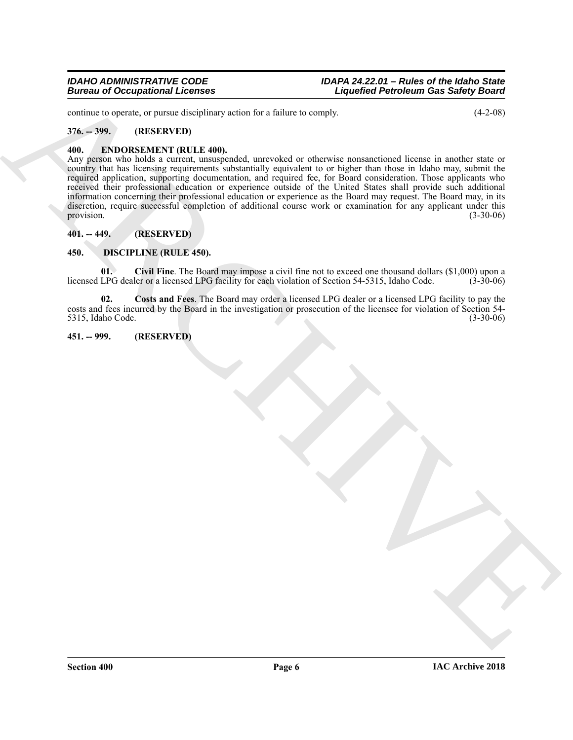continue to operate, or pursue disciplinary action for a failure to comply. (4-2-08)

#### <span id="page-5-0"></span>**376. -- 399. (RESERVED)**

#### <span id="page-5-8"></span><span id="page-5-1"></span>**400. ENDORSEMENT (RULE 400).**

Europa of Occupational Leonies<br>
State of the state of the state of since the state of the state of the state of the state of the state of the<br>
The state of the state of the state of the state of the state of the state of Any person who holds a current, unsuspended, unrevoked or otherwise nonsanctioned license in another state or country that has licensing requirements substantially equivalent to or higher than those in Idaho may, submit the required application, supporting documentation, and required fee, for Board consideration. Those applicants who received their professional education or experience outside of the United States shall provide such additional information concerning their professional education or experience as the Board may request. The Board may, in its discretion, require successful completion of additional course work or examination for any applicant under this provision.  $(3-30-06)$ 

#### <span id="page-5-2"></span>**401. -- 449. (RESERVED)**

#### <span id="page-5-5"></span><span id="page-5-3"></span>**450. DISCIPLINE (RULE 450).**

<span id="page-5-6"></span>**01. Civil Fine**. The Board may impose a civil fine not to exceed one thousand dollars (\$1,000) upon a licensed LPG dealer or a licensed LPG facility for each violation of Section 54-5315, Idaho Code. (3-30-06)

<span id="page-5-7"></span>**02. Costs and Fees**. The Board may order a licensed LPG dealer or a licensed LPG facility to pay the costs and fees incurred by the Board in the investigation or prosecution of the licensee for violation of Section 54- 5315, Idaho Code.

#### <span id="page-5-4"></span>**451. -- 999. (RESERVED)**